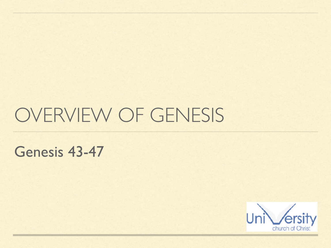# OVERVIEW OF GENESIS

Genesis 43-47

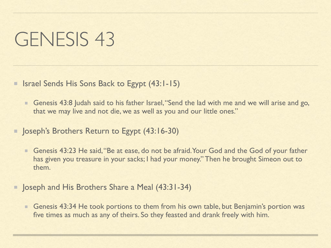■ Israel Sends His Sons Back to Egypt (43:1-15)

- Genesis 43:8 Judah said to his father Israel, "Send the lad with me and we will arise and go, that we may live and not die, we as well as you and our little ones."
- Supph's Brothers Return to Egypt (43:16-30)
	- Genesis 43:23 He said, "Be at ease, do not be afraid. Your God and the God of your father has given you treasure in your sacks; I had your money." Then he brought Simeon out to them.
- **Depart 19 In Apple 2 Share a Meal (43:31-34)** 
	- Genesis 43:34 He took portions to them from his own table, but Benjamin's portion was E. five times as much as any of theirs. So they feasted and drank freely with him.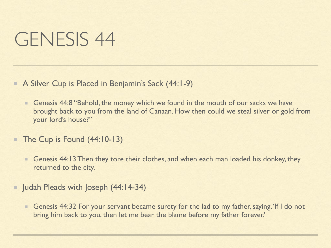- A Silver Cup is Placed in Benjamin's Sack (44:1-9)
	- Genesis 44:8 "Behold, the money which we found in the mouth of our sacks we have  $\blacksquare$ brought back to you from the land of Canaan. How then could we steal silver or gold from your lord's house?"
- The Cup is Found (44:10-13) ш
	- Genesis 44:13 Then they tore their clothes, and when each man loaded his donkey, they  $\blacksquare$ returned to the city.
- **Judah Pleads with Joseph (44:14-34)** 
	- Genesis 44:32 For your servant became surety for the lad to my father, saying, 'If I do not  $\blacksquare$ bring him back to you, then let me bear the blame before my father forever.'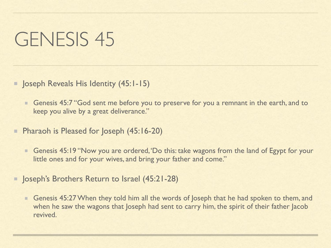**Joseph Reveals His Identity (45:1-15)** 

- Genesis 45:7 "God sent me before you to preserve for you a remnant in the earth, and to  $\begin{array}{c} \begin{array}{c} \begin{array}{c} \begin{array}{c} \end{array} \end{array} \end{array} \end{array} \end{array} \end{array}$ keep you alive by a great deliverance."
- Pharaoh is Pleased for Joseph (45:16-20)
	- Genesis 45:19 "Now you are ordered, 'Do this: take wagons from the land of Egypt for your little ones and for your wives, and bring your father and come."
- Joseph's Brothers Return to Israel (45:21-28)
	- Genesis 45:27 When they told him all the words of Joseph that he had spoken to them, and when he saw the wagons that Joseph had sent to carry him, the spirit of their father Jacob revived.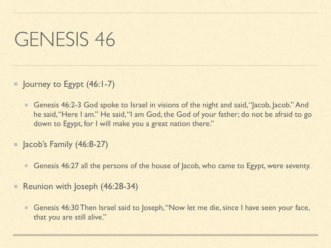- **Journey to Egypt (46:1-7)** 
	- Genesis 46:2-3 God spoke to Israel in visions of the night and said, "Jacob, Jacob." And  $\blacksquare$ he said, "Here I am." He said, "I am God, the God of your father; do not be afraid to go down to Egypt, for I will make you a great nation there."
- **Jacob's Family (46:8-27)** 
	- Genesis 46:27 all the persons of the house of Jacob, who came to Egypt, were seventy.  $\blacksquare$
- Reunion with Joseph (46:28-34)
	- Genesis 46:30 Then Israel said to Joseph, "Now let me die, since I have seen your face, that you are still alive."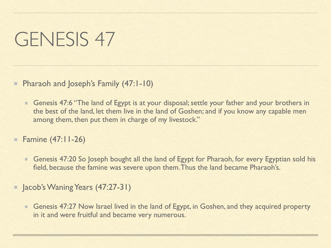Pharaoh and Joseph's Family (47:1-10)

- Genesis 47:6 "The land of Egypt is at your disposal; settle your father and your brothers in the best of the land, let them live in the land of Goshen; and if you know any capable men among them, then put them in charge of my livestock."
- Famine (47:11-26)  $\qquad \qquad \blacksquare$ 
	- Genesis 47:20 So Joseph bought all the land of Egypt for Pharaoh, for every Egyptian sold his  $\begin{array}{c} \begin{array}{c} \begin{array}{c} \begin{array}{c} \end{array} \end{array} \end{array} \end{array} \end{array} \end{array}$ field, because the famine was severe upon them. Thus the land became Pharaoh's.
- Jacob's Waning Years (47:27-31)
	- Genesis 47:27 Now Israel lived in the land of Egypt, in Goshen, and they acquired property in it and were fruitful and became very numerous.